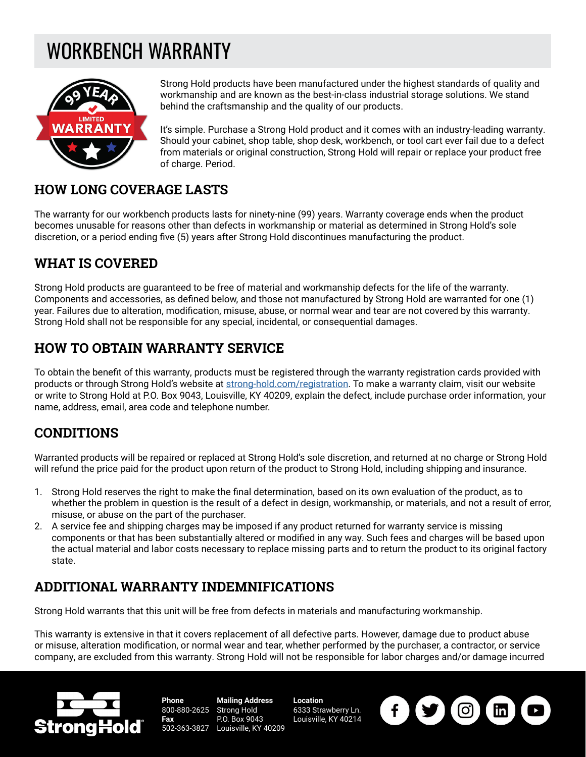# WORKBENCH WARRANTY



Strong Hold products have been manufactured under the highest standards of quality and workmanship and are known as the best-in-class industrial storage solutions. We stand behind the craftsmanship and the quality of our products.

It's simple. Purchase a Strong Hold product and it comes with an industry-leading warranty. Should your cabinet, shop table, shop desk, workbench, or tool cart ever fail due to a defect from materials or original construction, Strong Hold will repair or replace your product free of charge. Period.

#### **HOW LONG COVERAGE LASTS**

The warranty for our workbench products lasts for ninety-nine (99) years. Warranty coverage ends when the product becomes unusable for reasons other than defects in workmanship or material as determined in Strong Hold's sole discretion, or a period ending five (5) years after Strong Hold discontinues manufacturing the product.

## **WHAT IS COVERED**

Strong Hold products are guaranteed to be free of material and workmanship defects for the life of the warranty. Components and accessories, as defined below, and those not manufactured by Strong Hold are warranted for one (1) year. Failures due to alteration, modification, misuse, abuse, or normal wear and tear are not covered by this warranty. Strong Hold shall not be responsible for any special, incidental, or consequential damages.

## **HOW TO OBTAIN WARRANTY SERVICE**

To obtain the benefit of this warranty, products must be registered through the warranty registration cards provided with products or through Strong Hold's website at [strong-hold.com/registration](http://strong-hold.com/registration). To make a warranty claim, visit our website or write to Strong Hold at P.O. Box 9043, Louisville, KY 40209, explain the defect, include purchase order information, your name, address, email, area code and telephone number.

### **CONDITIONS**

Warranted products will be repaired or replaced at Strong Hold's sole discretion, and returned at no charge or Strong Hold will refund the price paid for the product upon return of the product to Strong Hold, including shipping and insurance.

- 1. Strong Hold reserves the right to make the final determination, based on its own evaluation of the product, as to whether the problem in question is the result of a defect in design, workmanship, or materials, and not a result of error, misuse, or abuse on the part of the purchaser.
- 2. A service fee and shipping charges may be imposed if any product returned for warranty service is missing components or that has been substantially altered or modified in any way. Such fees and charges will be based upon the actual material and labor costs necessary to replace missing parts and to return the product to its original factory state.

### **ADDITIONAL WARRANTY INDEMNIFICATIONS**

Strong Hold warrants that this unit will be free from defects in materials and manufacturing workmanship.

This warranty is extensive in that it covers replacement of all defective parts. However, damage due to product abuse or misuse, alteration modification, or normal wear and tear, whether performed by the purchaser, a contractor, or service company, are excluded from this warranty. Strong Hold will not be responsible for labor charges and/or damage incurred



**Phone** 800-880-2625 Strong Hold **Fax** 502-363-3827 **Mailing Address** P.O. Box 9043 Louisville, KY 40209

**Location** 6333 Strawberry Ln. Louisville, KY 40214